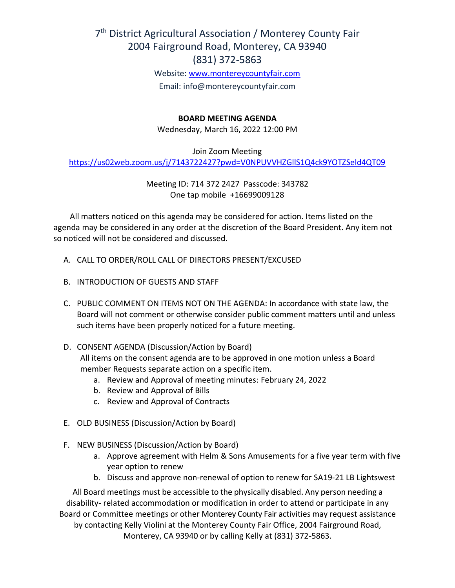# 7<sup>th</sup> District Agricultural Association / Monterey County Fair 2004 Fairground Road, Monterey, CA 93940 (831) 372-5863

Website: [www.montereycountyfair.com](http://www.montereycountyfair.com/) Email: info@montereycountyfair.com

### **BOARD MEETING AGENDA**

Wednesday, March 16, 2022 12:00 PM

Join Zoom Meeting

<https://us02web.zoom.us/j/7143722427?pwd=V0NPUVVHZGllS1Q4ck9YOTZSeld4QT09>

Meeting ID: 714 372 2427 Passcode: 343782 One tap mobile +16699009128

 All matters noticed on this agenda may be considered for action. Items listed on the agenda may be considered in any order at the discretion of the Board President. Any item not so noticed will not be considered and discussed.

- A. CALL TO ORDER/ROLL CALL OF DIRECTORS PRESENT/EXCUSED
- B. INTRODUCTION OF GUESTS AND STAFF
- C. PUBLIC COMMENT ON ITEMS NOT ON THE AGENDA: In accordance with state law, the Board will not comment or otherwise consider public comment matters until and unless such items have been properly noticed for a future meeting.
- D. CONSENT AGENDA (Discussion/Action by Board) All items on the consent agenda are to be approved in one motion unless a Board member Requests separate action on a specific item.
	- a. Review and Approval of meeting minutes: February 24, 2022
	- b. Review and Approval of Bills
	- c. Review and Approval of Contracts
- E. OLD BUSINESS (Discussion/Action by Board)
- F. NEW BUSINESS (Discussion/Action by Board)
	- a. Approve agreement with Helm & Sons Amusements for a five year term with five year option to renew
	- b. Discuss and approve non-renewal of option to renew for SA19-21 LB Lightswest

All Board meetings must be accessible to the physically disabled. Any person needing a disability- related accommodation or modification in order to attend or participate in any Board or Committee meetings or other Monterey County Fair activities may request assistance by contacting Kelly Violini at the Monterey County Fair Office, 2004 Fairground Road, Monterey, CA 93940 or by calling Kelly at (831) 372-5863.